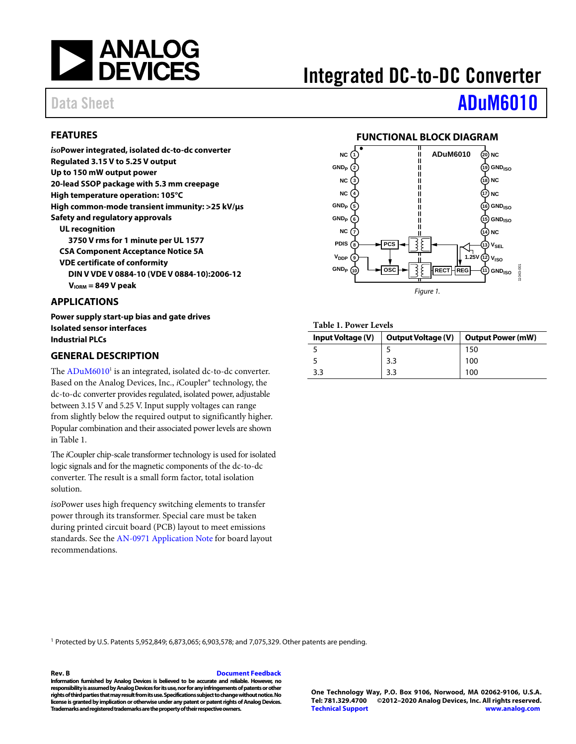

# Integrated DC-to-DC Converter

# Data Sheet **[ADuM6010](https://www.analog.com/ADuM6010?doc=ADuM6010.pdf)**

### <span id="page-0-1"></span>**FEATURES**

*iso***Power integrated, isolated dc-to-dc converter Regulated 3.15 V to 5.25 V output Up to 150 mW output power 20-lead SSOP package with 5.3 mm creepage High temperature operation: 105°C High common-mode transient immunity: >25 kV/µs Safety and regulatory approvals UL recognition 3750 V rms for 1 minute per UL 1577 CSA Component Acceptance Notice 5A VDE certificate of conformity DIN V VDE V 0884-10 (VDE V 0884-10):2006-12 VIORM = 849 V peak**

#### <span id="page-0-2"></span>**APPLICATIONS**

**Power supply start-up bias and gate drives Isolated sensor interfaces Industrial PLCs**

#### <span id="page-0-3"></span>**GENERAL DESCRIPTION**

The ADuM6010<sup>1</sup> is an integrated, isolated dc-to-dc converter. Based on the Analog Devices, Inc., *i*Coupler® technology, the dc-to-dc converter provides regulated, isolated power, adjustable between 3.15 V and 5.25 V. Input supply voltages can range from slightly below the required output to significantly higher. Popular combination and their associated power levels are shown i[n Table 1.](#page-0-0)

The *i*Coupler chip-scale transformer technology is used for isolated logic signals and for the magnetic components of the dc-to-dc converter. The result is a small form factor, total isolation solution.

*iso*Power uses high frequency switching elements to transfer power through its transformer. Special care must be taken during printed circuit board (PCB) layout to meet emissions standards. See the [AN-0971 Application Note](http://www.analog.com/AN-0971) for board layout recommendations.

### **FUNCTIONAL BLOCK DIAGRAM**

<span id="page-0-4"></span>

#### <span id="page-0-0"></span>**Table 1. Power Levels**

| Input Voltage (V) | <b>Output Voltage (V)</b> | <b>Output Power (mW)</b> |
|-------------------|---------------------------|--------------------------|
|                   |                           | 150                      |
|                   | 3.3                       | 100                      |
| 3.3               | 3.3                       | 100                      |

<sup>1</sup> Protected by U.S. Patents 5,952,849; 6,873,065; 6,903,578; and 7,075,329. Other patents are pending.

#### **Rev. B [Document Feedback](https://form.analog.com/Form_Pages/feedback/documentfeedback.aspx?doc=ADuM6010.pdf&product=ADuM6010&rev=B)**

**Information furnished by Analog Devices is believed to be accurate and reliable. However, no responsibility is assumed by Analog Devices for its use, nor for any infringements of patents or other rights of third parties that may result from its use. Specifications subject to change without notice. No license is granted by implication or otherwise under any patent or patent rights of Analog Devices. Trademarks and registered trademarks are the property of their respective owners.**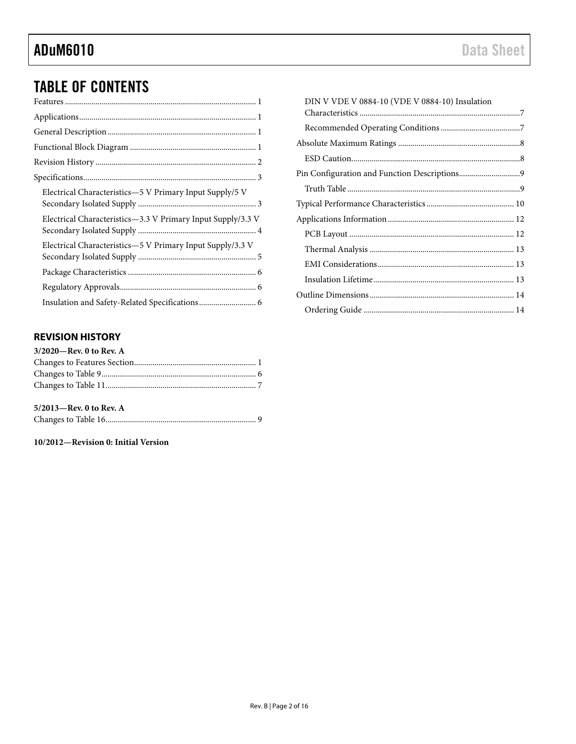# TABLE OF CONTENTS

| Electrical Characteristics—5 V Primary Input Supply/5 V     |  |
|-------------------------------------------------------------|--|
| Electrical Characteristics-3.3 V Primary Input Supply/3.3 V |  |
| Electrical Characteristics-5 V Primary Input Supply/3.3 V   |  |
|                                                             |  |
|                                                             |  |
|                                                             |  |
|                                                             |  |

### <span id="page-1-0"></span>**REVISION HISTORY**

| $3/2020$ —Rev. 0 to Rev. A |  |
|----------------------------|--|
|                            |  |
|                            |  |
|                            |  |
|                            |  |

### **5/2013—Rev. 0 to Rev. A**

|--|--|--|

#### **10/2012—Revision 0: Initial Version**

| DIN V VDE V 0884-10 (VDE V 0884-10) Insulation |  |
|------------------------------------------------|--|
|                                                |  |
|                                                |  |
|                                                |  |
|                                                |  |
|                                                |  |
|                                                |  |
|                                                |  |
|                                                |  |
|                                                |  |
|                                                |  |
|                                                |  |
|                                                |  |
|                                                |  |
|                                                |  |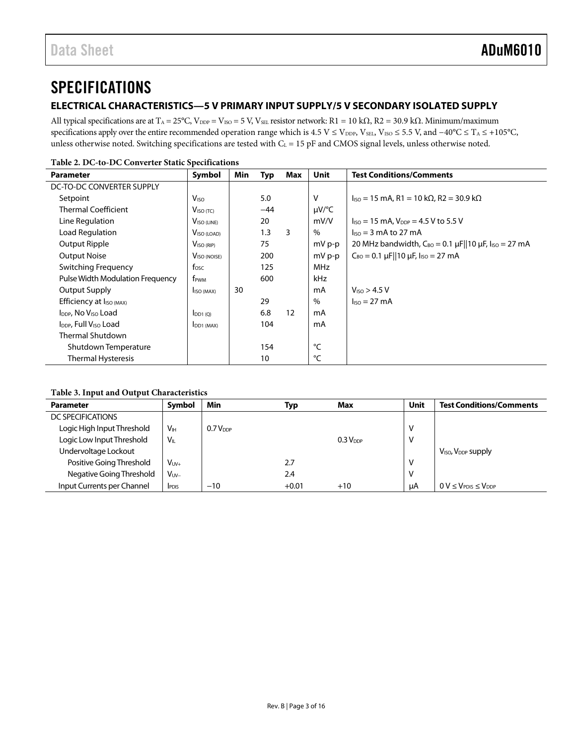# <span id="page-2-0"></span>**SPECIFICATIONS**

### <span id="page-2-1"></span>**ELECTRICAL CHARACTERISTICS—5 V PRIMARY INPUT SUPPLY/5 V SECONDARY ISOLATED SUPPLY**

All typical specifications are at T<sub>A</sub> = 25°C, V<sub>DDP</sub> = V<sub>ISO</sub> = 5 V, V<sub>SEL</sub> resistor network: R1 = 10 kΩ, R2 = 30.9 kΩ. Minimum/maximum specifications apply over the entire recommended operation range which is 4.5 V ≤ V<sub>DDP</sub>, V<sub>SEL</sub>, V<sub>ISO</sub> ≤ 5.5 V, and −40°C ≤ T<sub>A</sub> ≤ +105°C, unless otherwise noted. Switching specifications are tested with  $C_L = 15$  pF and CMOS signal levels, unless otherwise noted.

| I abit 2. DC-to-DC Converter static specifications |                          |     |            |     |             |                                                                                |  |
|----------------------------------------------------|--------------------------|-----|------------|-----|-------------|--------------------------------------------------------------------------------|--|
| <b>Parameter</b>                                   | Symbol                   | Min | <b>Typ</b> | Max | <b>Unit</b> | <b>Test Conditions/Comments</b>                                                |  |
| DC-TO-DC CONVERTER SUPPLY                          |                          |     |            |     |             |                                                                                |  |
| Setpoint                                           | <b>V<sub>ISO</sub></b>   |     | 5.0        |     | v           | $IISO = 15$ mA, R1 = 10 kΩ, R2 = 30.9 kΩ                                       |  |
| <b>Thermal Coefficient</b>                         | $VISO$ (TC)              |     | $-44$      |     | $\mu V$ /°C |                                                                                |  |
| Line Regulation                                    | V <sub>ISO (LINE)</sub>  |     | 20         |     | mV/V        | $I_{\text{ISO}} = 15 \text{ mA}$ , $V_{\text{DDP}} = 4.5 \text{ V}$ to 5.5 V   |  |
| Load Regulation                                    | V <sub>ISO</sub> (LOAD)  |     | 1.3        | 3   | $\%$        | $\ln 5 = 3$ mA to 27 mA                                                        |  |
| Output Ripple                                      | V <sub>ISO (RIP)</sub>   |     | 75         |     | $mV p-p$    | 20 MHz bandwidth, $C_{B0} = 0.1 \,\mu$ F  10 $\mu$ F, I <sub>ISO</sub> = 27 mA |  |
| <b>Output Noise</b>                                | V <sub>ISO</sub> (NOISE) |     | 200        |     | $mV p-p$    | $C_{BO} = 0.1 \mu$ F  10 $\mu$ F, I <sub>ISO</sub> = 27 mA                     |  |
| <b>Switching Frequency</b>                         | fosc                     |     | 125        |     | MHz         |                                                                                |  |
| Pulse Width Modulation Frequency                   | f <sub>PWM</sub>         |     | 600        |     | kHz         |                                                                                |  |
| <b>Output Supply</b>                               | ISO (MAX)                | 30  |            |     | mA          | V <sub>ISO</sub> > 4.5 V                                                       |  |
| Efficiency at I <sub>ISO (MAX)</sub>               |                          |     | 29         |     | $\%$        | $\textsf{liso} = 27 \text{ mA}$                                                |  |
| I <sub>DDP</sub> , No V <sub>ISO</sub> Load        | DD1(Q)                   |     | 6.8        | 12  | mA          |                                                                                |  |
| I <sub>DDP</sub> , Full V <sub>ISO</sub> Load      | $I_{DD1 (MAX)}$          |     | 104        |     | mA          |                                                                                |  |
| <b>Thermal Shutdown</b>                            |                          |     |            |     |             |                                                                                |  |
| Shutdown Temperature                               |                          |     | 154        |     | °C          |                                                                                |  |
| Thermal Hysteresis                                 |                          |     | 10         |     | °C          |                                                                                |  |

### **Table 3. Input and Output Characteristics**

| <b>Parameter</b>           | Symbol          | Min           | Typ     | Max           | Unit | <b>Test Conditions/Comments</b>  |
|----------------------------|-----------------|---------------|---------|---------------|------|----------------------------------|
| DC SPECIFICATIONS          |                 |               |         |               |      |                                  |
| Logic High Input Threshold | V <sub>H</sub>  | $0.7 V_{DDP}$ |         |               |      |                                  |
| Logic Low Input Threshold  | V <sub>IL</sub> |               |         | $0.3 V_{DDP}$ | ٧    |                                  |
| Undervoltage Lockout       |                 |               |         |               |      | $VISO$ , $VDDP$ supply           |
| Positive Going Threshold   | $V_{UV+}$       |               | 2.7     |               |      |                                  |
| Negative Going Threshold   | $V_{UV-}$       |               | 2.4     |               |      |                                  |
| Input Currents per Channel | <b>IPDIS</b>    | $-10$         | $+0.01$ | $+10$         | uA   | $0 V \leq V_{PDIS} \leq V_{DDP}$ |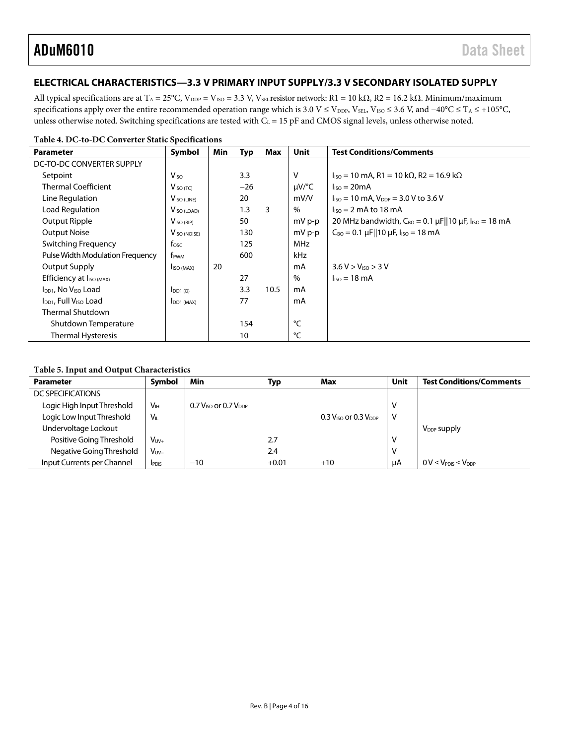### <span id="page-3-0"></span>**ELECTRICAL CHARACTERISTICS—3.3 V PRIMARY INPUT SUPPLY/3.3 V SECONDARY ISOLATED SUPPLY**

All typical specifications are at T<sub>A</sub> = 25°C, V<sub>DDP</sub> = V<sub>ISO</sub> = 3.3 V, V<sub>SEL</sub> resistor network: R1 = 10 kΩ, R2 = 16.2 kΩ. Minimum/maximum specifications apply over the entire recommended operation range which is 3.0 V ≤ V<sub>DDP</sub>, V<sub>SEL</sub>, V<sub>ISO</sub> ≤ 3.6 V, and -40°C ≤ T<sub>A</sub> ≤ +105°C, unless otherwise noted. Switching specifications are tested with  $C_L = 15$  pF and CMOS signal levels, unless otherwise noted.

| <b>Parameter</b>                              | Symbol                   | Min | Typ   | Max  | Unit        | <b>Test Conditions/Comments</b>                                                                        |
|-----------------------------------------------|--------------------------|-----|-------|------|-------------|--------------------------------------------------------------------------------------------------------|
| DC-TO-DC CONVERTER SUPPLY                     |                          |     |       |      |             |                                                                                                        |
| Setpoint                                      | V <sub>ISO</sub>         |     | 3.3   |      | V           | $I_{\text{ISO}} = 10 \text{ mA}$ , R1 = 10 k $\Omega$ , R2 = 16.9 k $\Omega$                           |
| <b>Thermal Coefficient</b>                    | $VISO$ (TC)              |     | $-26$ |      | $\mu V$ /°C | $\textsf{liso} = 20 \textsf{mA}$                                                                       |
| Line Regulation                               | $VISO$ (LINE)            |     | 20    |      | mV/V        | $I_{\text{ISO}} = 10 \text{ mA}$ , $V_{\text{DDP}} = 3.0 \text{ V}$ to 3.6 V                           |
| Load Regulation                               | V <sub>ISO</sub> (LOAD)  |     | 1.3   | 3    | $\%$        | $\sqrt{1.50}$ = 2 mA to 18 mA                                                                          |
| Output Ripple                                 | V <sub>ISO (RIP)</sub>   |     | 50    |      | mV p-p      | 20 MHz bandwidth, $C_{B0} = 0.1 \,\mu\text{F}    10 \,\mu\text{F}$ , $I_{\text{ISO}} = 18 \,\text{mA}$ |
| <b>Output Noise</b>                           | V <sub>ISO</sub> (NOISE) |     | 130   |      | mV p-p      | $C_{BO} = 0.1 \mu$ F  10 $\mu$ F, I <sub>ISO</sub> = 18 mA                                             |
| <b>Switching Frequency</b>                    | $f_{\rm osc}$            |     | 125   |      | MHz         |                                                                                                        |
| Pulse Width Modulation Frequency              | f <sub>PWM</sub>         |     | 600   |      | kHz         |                                                                                                        |
| Output Supply                                 | I <sub>ISO</sub> (MAX)   | 20  |       |      | mA          | 3.6 V > V <sub>ISO</sub> > 3 V                                                                         |
| Efficiency at I <sub>ISO (MAX)</sub>          |                          |     | 27    |      | %           | $\textsf{Iso} = 18 \text{ mA}$                                                                         |
| $I_{DD1}$ , No $V_{ISO}$ Load                 | $I_{DD1(Q)}$             |     | 3.3   | 10.5 | mA          |                                                                                                        |
| I <sub>DD1</sub> , Full V <sub>ISO</sub> Load | DD1 (MAX)                |     | 77    |      | mA          |                                                                                                        |
| <b>Thermal Shutdown</b>                       |                          |     |       |      |             |                                                                                                        |
| Shutdown Temperature                          |                          |     | 154   |      | °⊂          |                                                                                                        |
| Thermal Hysteresis                            |                          |     | 10    |      | °C          |                                                                                                        |

**Table 4. DC-to-DC Converter Static Specifications**

#### **Table 5. Input and Output Characteristics**

| <b>Parameter</b>           | Symbol                | Min                                            | Typ     | <b>Max</b>                                     | <b>Unit</b> | <b>Test Conditions/Comments</b>                |
|----------------------------|-----------------------|------------------------------------------------|---------|------------------------------------------------|-------------|------------------------------------------------|
| DC SPECIFICATIONS          |                       |                                                |         |                                                |             |                                                |
| Logic High Input Threshold | <b>V<sub>IH</sub></b> | $0.7$ V <sub>ISO</sub> or 0.7 V <sub>DDP</sub> |         |                                                | ν           |                                                |
| Logic Low Input Threshold  | $V_{\parallel}$       |                                                |         | $0.3$ V <sub>ISO</sub> or 0.3 V <sub>DDP</sub> | v           |                                                |
| Undervoltage Lockout       |                       |                                                |         |                                                |             | V <sub>DDP</sub> supply                        |
| Positive Going Threshold   | $V_{UV+}$             |                                                | 2.7     |                                                | ν           |                                                |
| Negative Going Threshold   | $V_{UV-}$             |                                                | 2.4     |                                                | ٧           |                                                |
| Input Currents per Channel | <b>IPDIS</b>          | $-10$                                          | $+0.01$ | $+10$                                          | uA          | $0 V \leq V_{\text{PDIS}} \leq V_{\text{DDP}}$ |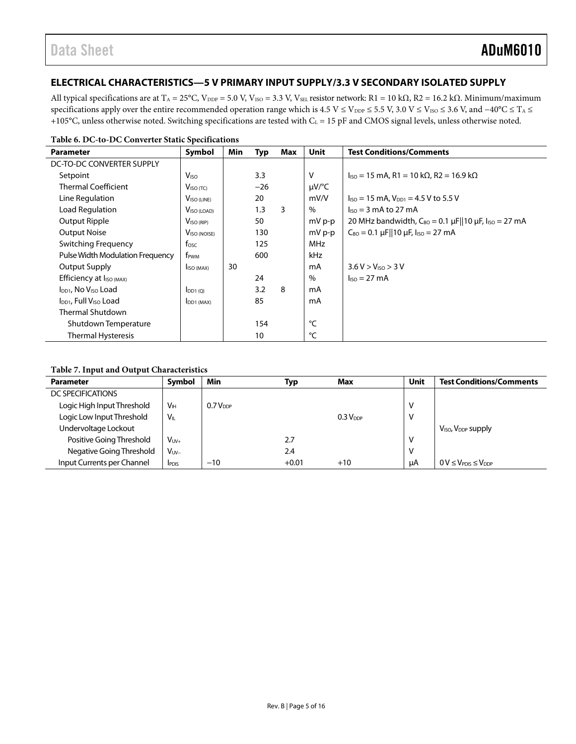### <span id="page-4-0"></span>**ELECTRICAL CHARACTERISTICS—5 V PRIMARY INPUT SUPPLY/3.3 V SECONDARY ISOLATED SUPPLY**

All typical specifications are at T<sub>A</sub> = 25°C, V<sub>DDP</sub> = 5.0 V, V<sub>ISO</sub> = 3.3 V, V<sub>SEL</sub> resistor network: R1 = 10 kΩ, R2 = 16.2 kΩ. Minimum/maximum specifications apply over the entire recommended operation range which is 4.5 V ≤ V<sub>DDP</sub> ≤ 5.5 V, 3.0 V ≤ V<sub>ISO</sub> ≤ 3.6 V, and -40°C ≤ T<sub>A</sub> ≤ +105°C, unless otherwise noted. Switching specifications are tested with  $C_L = 15$  pF and CMOS signal levels, unless otherwise noted.

| <b>Parameter</b>                              | Symbol                    | Min | Typ   | Max | <b>Unit</b> | <b>Test Conditions/Comments</b>                                                               |
|-----------------------------------------------|---------------------------|-----|-------|-----|-------------|-----------------------------------------------------------------------------------------------|
| DC-TO-DC CONVERTER SUPPLY                     |                           |     |       |     |             |                                                                                               |
| Setpoint                                      | <b>V</b> <sub>ISO</sub>   |     | 3.3   |     | v           | $IISO = 15$ mA, R1 = 10 kΩ, R2 = 16.9 kΩ                                                      |
| <b>Thermal Coefficient</b>                    | $V_{\text{ISO (TC)}}$     |     | $-26$ |     | $\mu V$ /°C |                                                                                               |
| Line Regulation                               | V <sub>ISO</sub> (LINE)   |     | 20    |     | mV/V        | $I_{ISO} = 15 \text{ mA}$ , $V_{DD1} = 4.5 \text{ V}$ to 5.5 V                                |
| Load Regulation                               | V <sub>ISO</sub> (LOAD)   |     | 1.3   | 3   | $\%$        | $\ln 5 = 3$ mA to 27 mA                                                                       |
| <b>Output Ripple</b>                          | V <sub>ISO (RIP)</sub>    |     | 50    |     | mV p-p      | 20 MHz bandwidth, $C_{BO} = 0.1 \,\mu\text{F}  10 \,\mu\text{F}$ , $I_{ISO} = 27 \,\text{mA}$ |
| <b>Output Noise</b>                           | V <sub>ISO</sub> (NOISE)  |     | 130   |     | mV p-p      | $C_{BO} = 0.1 \,\mu\text{F}  10 \,\mu\text{F}$ , $I_{ISO} = 27 \,\text{mA}$                   |
| Switching Frequency                           | $f_{\rm{OSC}}$            |     | 125   |     | <b>MHz</b>  |                                                                                               |
| Pulse Width Modulation Frequency              | f <sub>PWM</sub>          |     | 600   |     | kHz         |                                                                                               |
| Output Supply                                 | I <sub>ISO</sub> (MAX)    | 30  |       |     | mA          | 3.6 V > V <sub>ISO</sub> > 3 V                                                                |
| Efficiency at I <sub>ISO (MAX)</sub>          |                           |     | 24    |     | $\%$        | $\textsf{liso} = 27 \text{ mA}$                                                               |
| $I_{DD1}$ , No $V_{ISO}$ Load                 | $I_{DD1(Q)}$              |     | 3.2   | 8   | mA          |                                                                                               |
| I <sub>DD1</sub> , Full V <sub>ISO</sub> Load | $I$ DD <sub>1</sub> (MAX) |     | 85    |     | mA          |                                                                                               |
| <b>Thermal Shutdown</b>                       |                           |     |       |     |             |                                                                                               |
| Shutdown Temperature                          |                           |     | 154   |     | °⊂          |                                                                                               |
| <b>Thermal Hysteresis</b>                     |                           |     | 10    |     | °C          |                                                                                               |

#### **Table 7. Input and Output Characteristics**

| <b>Parameter</b>           | Symbol          | Min           | Typ     | Max                  | Unit | <b>Test Conditions/Comments</b>            |
|----------------------------|-----------------|---------------|---------|----------------------|------|--------------------------------------------|
| DC SPECIFICATIONS          |                 |               |         |                      |      |                                            |
| Logic High Input Threshold | V <sub>H</sub>  | $0.7 V_{DDP}$ |         |                      |      |                                            |
| Logic Low Input Threshold  | $V_{\parallel}$ |               |         | 0.3 V <sub>DDP</sub> | V    |                                            |
| Undervoltage Lockout       |                 |               |         |                      |      | V <sub>ISO</sub> , V <sub>DDP</sub> supply |
| Positive Going Threshold   | $V_{UV+}$       |               | 2.7     |                      |      |                                            |
| Negative Going Threshold   | $V_{UV-}$       |               | 2.4     |                      | ν    |                                            |
| Input Currents per Channel | <b>IPDIS</b>    | $-10$         | $+0.01$ | $+10$                | uA   | $0 V \leq V_{PDIS} \leq V_{DDP}$           |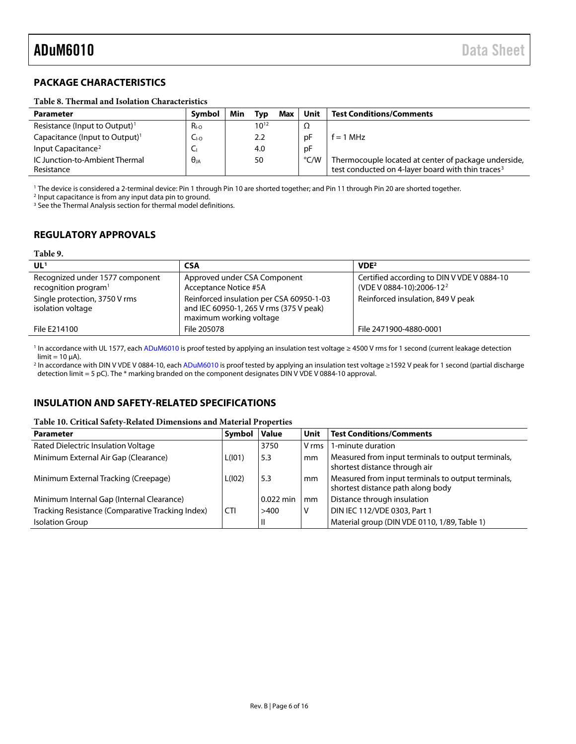### <span id="page-5-0"></span>**PACKAGE CHARACTERISTICS**

#### <span id="page-5-3"></span>**Table 8. Thermal and Isolation Characteristics**

| <b>Parameter</b>                             | Symbol          | Min | Typ       | Max | Unit          | <b>Test Conditions/Comments</b>                                                                                       |
|----------------------------------------------|-----------------|-----|-----------|-----|---------------|-----------------------------------------------------------------------------------------------------------------------|
| Resistance (Input to Output) <sup>1</sup>    | R <sub>LO</sub> |     | $10^{12}$ |     | 12            |                                                                                                                       |
| Capacitance (Input to Output) <sup>1</sup>   | $C_{I-O}$       |     | 2.2       |     | рF            | $f = 1$ MHz                                                                                                           |
| Input Capacitance <sup>2</sup>               | ╰               |     | 4.0       |     | рF            |                                                                                                                       |
| IC Junction-to-Ambient Thermal<br>Resistance | $\theta$ ia     |     | 50        |     | $\degree$ C/W | Thermocouple located at center of package underside,<br>test conducted on 4-layer board with thin traces <sup>3</sup> |
|                                              |                 |     |           |     |               |                                                                                                                       |

<sup>1</sup> The device is considered a 2-terminal device: Pin 1 through Pin 10 are shorted together; and Pin 11 through Pin 20 are shorted together.

<sup>2</sup> Input capacitance is from any input data pin to ground.

<sup>3</sup> See th[e Thermal Analysis](#page-12-0) section for thermal model definitions.

### <span id="page-5-1"></span>**REGULATORY APPROVALS**

#### **Table 9.**

| UL <sup>1</sup>                                                     | CSA                                                                                                            | VDE <sup>2</sup>                                                                   |
|---------------------------------------------------------------------|----------------------------------------------------------------------------------------------------------------|------------------------------------------------------------------------------------|
| Recognized under 1577 component<br>recognition program <sup>1</sup> | Approved under CSA Component<br>Acceptance Notice #5A                                                          | Certified according to DIN V VDE V 0884-10<br>(VDE V 0884-10):2006-12 <sup>2</sup> |
| Single protection, 3750 V rms<br>isolation voltage                  | Reinforced insulation per CSA 60950-1-03<br>and IEC 60950-1, 265 V rms (375 V peak)<br>maximum working voltage | Reinforced insulation, 849 V peak                                                  |
| File E214100                                                        | File 205078                                                                                                    | File 2471900-4880-0001                                                             |

<sup>1</sup> In accordance with UL 1577, eac[h ADuM6010](http://www.analog.com/ADuM6010) is proof tested by applying an insulation test voltage ≥ 4500 V rms for 1 second (current leakage detection  $limit = 10 \mu A$ ).

<sup>2</sup> In accordance with DIN V VDE V 0884-10, eac[h ADuM6010](http://www.analog.com/ADuM6010) is proof tested by applying an insulation test voltage ≥1592 V peak for 1 second (partial discharge detection limit = 5 pC). The \* marking branded on the component designates DIN V VDE V 0884-10 approval.

### <span id="page-5-2"></span>**INSULATION AND SAFETY-RELATED SPECIFICATIONS**

#### **Table 10. Critical Safety-Related Dimensions and Material Properties**

| <b>Parameter</b>                                 | Symbol     | <b>Value</b> | Unit  | <b>Test Conditions/Comments</b>                                                         |
|--------------------------------------------------|------------|--------------|-------|-----------------------------------------------------------------------------------------|
| Rated Dielectric Insulation Voltage              |            | 3750         | V rms | 1-minute duration                                                                       |
| Minimum External Air Gap (Clearance)             | L(101)     | 5.3          | mm    | Measured from input terminals to output terminals,<br>shortest distance through air     |
| Minimum External Tracking (Creepage)             | L(102)     | 5.3          | l mm  | Measured from input terminals to output terminals,<br>shortest distance path along body |
| Minimum Internal Gap (Internal Clearance)        |            | $0.022$ min  | mm    | Distance through insulation                                                             |
| Tracking Resistance (Comparative Tracking Index) | <b>CTI</b> | >400         | ٧     | DIN IEC 112/VDE 0303, Part 1                                                            |
| <b>Isolation Group</b>                           |            | $\mathsf{I}$ |       | Material group (DIN VDE 0110, 1/89, Table 1)                                            |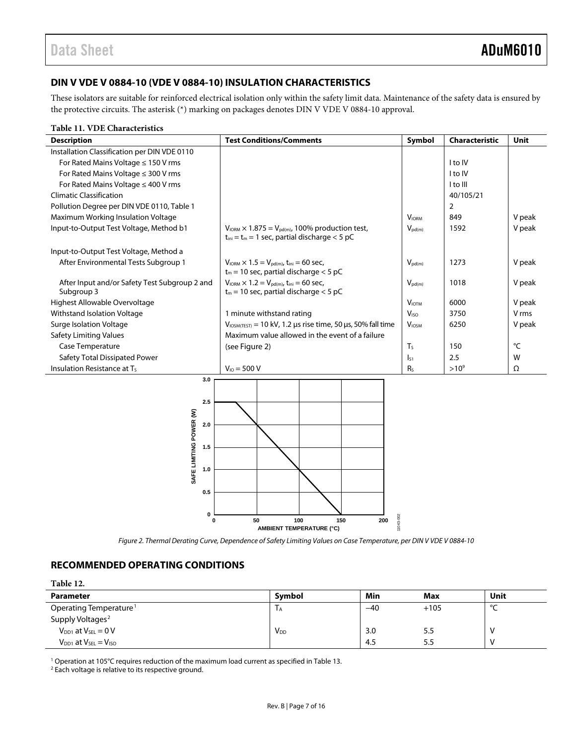### <span id="page-6-0"></span>**DIN V VDE V 0884-10 (VDE V 0884-10) INSULATION CHARACTERISTICS**

These isolators are suitable for reinforced electrical isolation only within the safety limit data. Maintenance of the safety data is ensured by the protective circuits. The asterisk (\*) marking on packages denotes DIN V VDE V 0884-10 approval.

#### **Table 11. VDE Characteristics**

| <b>Description</b>                                          | <b>Test Conditions/Comments</b>                                                                                                       | Symbol                   | Characteristic | Unit   |
|-------------------------------------------------------------|---------------------------------------------------------------------------------------------------------------------------------------|--------------------------|----------------|--------|
| Installation Classification per DIN VDE 0110                |                                                                                                                                       |                          |                |        |
| For Rated Mains Voltage $\leq$ 150 V rms                    |                                                                                                                                       |                          | I to IV        |        |
| For Rated Mains Voltage ≤ 300 V rms                         |                                                                                                                                       |                          | I to IV        |        |
| For Rated Mains Voltage ≤ 400 V rms                         |                                                                                                                                       |                          | I to III       |        |
| <b>Climatic Classification</b>                              |                                                                                                                                       |                          | 40/105/21      |        |
| Pollution Degree per DIN VDE 0110, Table 1                  |                                                                                                                                       |                          | $\overline{2}$ |        |
| Maximum Working Insulation Voltage                          |                                                                                                                                       | <b>V</b> <sub>IORM</sub> | 849            | V peak |
| Input-to-Output Test Voltage, Method b1                     | $V_{\text{IORM}} \times 1.875 = V_{\text{pd(m)}}$ , 100% production test,<br>$t_{\text{ini}} = t_m = 1$ sec, partial discharge < 5 pC | $V_{\text{pd}(m)}$       | 1592           | V peak |
| Input-to-Output Test Voltage, Method a                      |                                                                                                                                       |                          |                |        |
| After Environmental Tests Subgroup 1                        | $V_{\text{IORM}} \times 1.5 = V_{\text{pd}(m)}$ , t <sub>ini</sub> = 60 sec,<br>$t_m$ = 10 sec, partial discharge < 5 pC              | $V_{\text{pd}(m)}$       | 1273           | V peak |
| After Input and/or Safety Test Subgroup 2 and<br>Subgroup 3 | $V_{\text{IORM}} \times 1.2 = V_{\text{pd}(m)}$ , t <sub>ini</sub> = 60 sec,<br>$t_m$ = 10 sec, partial discharge < 5 pC              | $V_{\text{pd}(m)}$       | 1018           | V peak |
| Highest Allowable Overvoltage                               |                                                                                                                                       | $V_{IOTM}$               | 6000           | V peak |
| Withstand Isolation Voltage                                 | 1 minute withstand rating                                                                                                             | V <sub>ISO</sub>         | 3750           | V rms  |
| Surge Isolation Voltage                                     | $V_{\text{IOSM(TEST)}}$ = 10 kV, 1.2 µs rise time, 50 µs, 50% fall time                                                               | V <sub>IOSM</sub>        | 6250           | V peak |
| <b>Safety Limiting Values</b>                               | Maximum value allowed in the event of a failure                                                                                       |                          |                |        |
| Case Temperature                                            | (see Figure 2)                                                                                                                        | T <sub>S</sub>           | 150            | °C     |
| Safety Total Dissipated Power                               |                                                                                                                                       | $\mathsf{I}_{51}$        | 2.5            | W      |
| Insulation Resistance at Ts                                 | $V_{10} = 500 V$                                                                                                                      | R <sub>S</sub>           | $>10^{9}$      | Ω      |
| 3.0<br>2.5<br>SAFE LIMITING POWER (W)<br>2.0<br>1.5<br>1.0  |                                                                                                                                       |                          |                |        |

**AMBIENT TEMPERATURE (°C)** *Figure 2. Thermal Derating Curve, Dependence of Safety Limiting Values on Case Temperature, per DIN V VDE V 0884-10*

**0 50 100 150 200**

11043-002

043-002

### <span id="page-6-2"></span><span id="page-6-1"></span>**RECOMMENDED OPERATING CONDITIONS**

| Table 12.                          |                        |       |        |              |
|------------------------------------|------------------------|-------|--------|--------------|
| <b>Parameter</b>                   | Symbol                 | Min   | Max    | Unit         |
| Operating Temperature <sup>1</sup> | 1 A                    | $-40$ | $+105$ | $\circ$<br>╰ |
| Supply Voltages <sup>2</sup>       |                        |       |        |              |
| $V_{DD1}$ at $V_{SEL} = 0$ V       | <b>V</b> <sub>DD</sub> | 3.0   | 5.5    | -V           |
| $V_{DD1}$ at $V_{SEL} = V_{ISO}$   |                        | 4.5   | 5.5    | N            |

<sup>1</sup> Operation at 105°C requires reduction of the maximum load current as specified i[n Table 13.](#page-7-2)

**0**

**0.5**

<sup>2</sup> Each voltage is relative to its respective ground.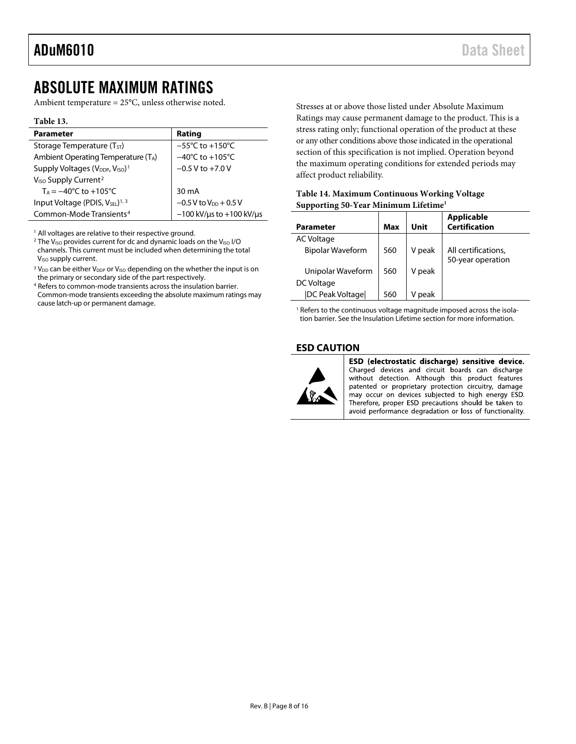### <span id="page-7-0"></span>ABSOLUTE MAXIMUM RATINGS

Ambient temperature = 25°C, unless otherwise noted.

#### <span id="page-7-2"></span>**Table 13.**

| <b>Parameter</b>                                                    | Rating                              |
|---------------------------------------------------------------------|-------------------------------------|
| Storage Temperature $(T_{ST})$                                      | $-55^{\circ}$ C to $+150^{\circ}$ C |
| Ambient Operating Temperature $(T_A)$                               | $-40^{\circ}$ C to $+105^{\circ}$ C |
| Supply Voltages (V <sub>DDP</sub> , V <sub>ISO</sub> ) <sup>1</sup> | $-0.5$ V to $+7.0$ V                |
| V <sub>ISO</sub> Supply Current <sup>2</sup>                        |                                     |
| $T_A = -40^{\circ}C$ to $+105^{\circ}C$                             | 30 mA                               |
| Input Voltage (PDIS, $V_{SEL}$ ) <sup>1, 3</sup>                    | $-0.5$ V to $V_{DD}$ + 0.5 V        |
| Common-Mode Transients <sup>4</sup>                                 | $-100$ kV/us to $+100$ kV/us        |

 $1$  All voltages are relative to their respective ground.

<sup>2</sup> The V<sub>ISO</sub> provides current for dc and dynamic loads on the V<sub>ISO</sub> I/O channels. This current must be included when determining the total V<sub>ISO</sub> supply current.

<sup>3</sup> V<sub>DD</sub> can be either V<sub>DDP</sub> or V<sub>ISO</sub> depending on the whether the input is on the primary or secondary side of the part respectively.

<sup>4</sup> Refers to common-mode transients across the insulation barrier. Common-mode transients exceeding the absolute maximum ratings may cause latch-up or permanent damage.

Stresses at or above those listed under Absolute Maximum Ratings may cause permanent damage to the product. This is a stress rating only; functional operation of the product at these or any other conditions above those indicated in the operational section of this specification is not implied. Operation beyond the maximum operating conditions for extended periods may affect product reliability.

<span id="page-7-3"></span>

| Table 14. Maximum Continuous Working Voltage     |
|--------------------------------------------------|
| Supporting 50-Year Minimum Lifetime <sup>1</sup> |

| Parameter                | Max | Unit   | <b>Applicable</b><br><b>Certification</b> |
|--------------------------|-----|--------|-------------------------------------------|
| <b>AC Voltage</b>        |     |        |                                           |
| <b>Bipolar Waveform</b>  | 560 | V peak | All certifications,                       |
|                          |     |        | 50-year operation                         |
| Unipolar Waveform        | 560 | V peak |                                           |
| DC Voltage               |     |        |                                           |
| <b>IDC Peak Voltagel</b> | 560 | neak   |                                           |

<sup>1</sup> Refers to the continuous voltage magnitude imposed across the isolation barrier. See th[e Insulation Lifetime](#page-12-2) section for more information.

#### <span id="page-7-1"></span>**ESD CAUTION**



ESD (electrostatic discharge) sensitive device. Charged devices and circuit boards can discharge without detection. Although this product features patented or proprietary protection circuitry, damage may occur on devices subjected to high energy ESD. Therefore, proper ESD precautions should be taken to avoid performance degradation or loss of functionality.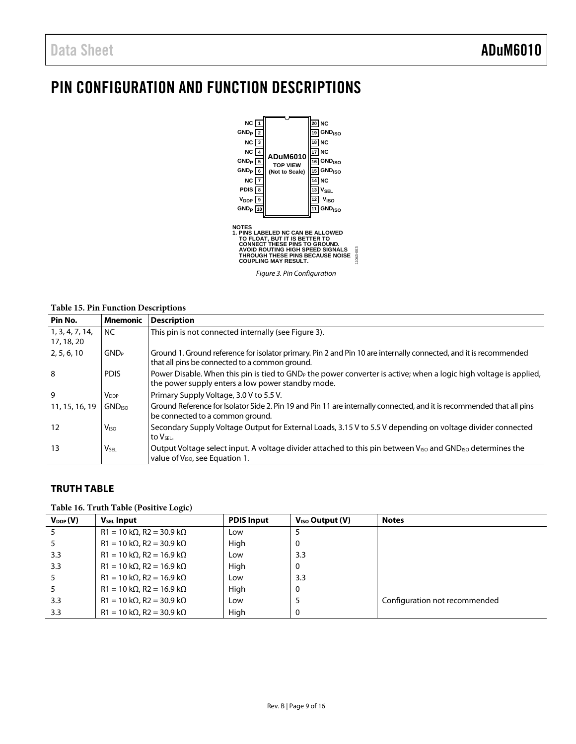# <span id="page-8-0"></span>PIN CONFIGURATION AND FUNCTION DESCRIPTIONS



*Figure 3. Pin Configuration*

11043-003

#### <span id="page-8-2"></span>**Table 15. Pin Function Descriptions**

| Pin No.                       | <b>Mnemonic</b>           | <b>Description</b>                                                                                                                                                                 |
|-------------------------------|---------------------------|------------------------------------------------------------------------------------------------------------------------------------------------------------------------------------|
| 1, 3, 4, 7, 14,<br>17, 18, 20 | <b>NC</b>                 | This pin is not connected internally (see Figure 3).                                                                                                                               |
| 2, 5, 6, 10                   | <b>GND</b> <sub>P</sub>   | Ground 1. Ground reference for isolator primary. Pin 2 and Pin 10 are internally connected, and it is recommended<br>that all pins be connected to a common ground.                |
| 8                             | <b>PDIS</b>               | Power Disable. When this pin is tied to GND <sub>p</sub> the power converter is active; when a logic high voltage is applied,<br>the power supply enters a low power standby mode. |
| 9                             | <b>V</b> <sub>DDP</sub>   | Primary Supply Voltage, 3.0 V to 5.5 V.                                                                                                                                            |
| 11, 15, 16, 19                | <b>GND</b> <sub>ISO</sub> | Ground Reference for Isolator Side 2. Pin 19 and Pin 11 are internally connected, and it is recommended that all pins<br>be connected to a common ground.                          |
| 12                            | V <sub>ISO</sub>          | Secondary Supply Voltage Output for External Loads, 3.15 V to 5.5 V depending on voltage divider connected<br>to V <sub>SFL</sub> .                                                |
| 13                            | <b>VSEL</b>               | Output Voltage select input. A voltage divider attached to this pin between V <sub>ISO</sub> and GND <sub>ISO</sub> determines the<br>value of V <sub>ISO</sub> , see Equation 1.  |

#### <span id="page-8-1"></span>**TRUTH TABLE**

#### **Table 16. Truth Table (Positive Logic)**

| $V_{DDP}(V)$ | <b>V<sub>SEL</sub></b> Input            | <b>PDIS Input</b> | $Viso$ Output $(V)$ | <b>Notes</b>                  |
|--------------|-----------------------------------------|-------------------|---------------------|-------------------------------|
|              | $R1 = 10 k\Omega$ , $R2 = 30.9 k\Omega$ | Low               |                     |                               |
|              | $R1 = 10 k\Omega$ , $R2 = 30.9 k\Omega$ | High              | 0                   |                               |
| 3.3          | $R1 = 10 k\Omega$ , $R2 = 16.9 k\Omega$ | Low               | 3.3                 |                               |
| 3.3          | $R1 = 10 k\Omega$ , $R2 = 16.9 k\Omega$ | High              | 0                   |                               |
|              | $R1 = 10 k\Omega$ , $R2 = 16.9 k\Omega$ | Low               | 3.3                 |                               |
|              | $R1 = 10 k\Omega$ , $R2 = 16.9 k\Omega$ | High              | 0                   |                               |
| 3.3          | $R1 = 10 k\Omega$ , $R2 = 30.9 k\Omega$ | Low               |                     | Configuration not recommended |
| 3.3          | $R1 = 10 k\Omega$ , $R2 = 30.9 k\Omega$ | High              | 0                   |                               |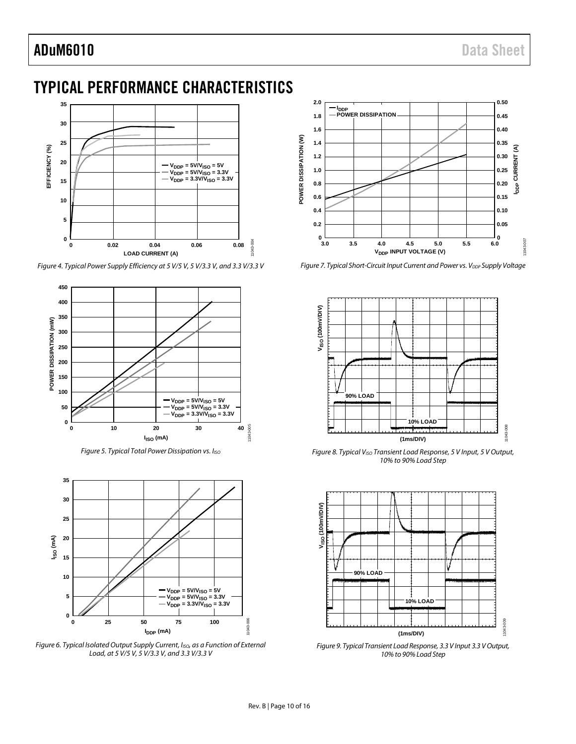# <span id="page-9-0"></span>TYPICAL PERFORMANCE CHARACTERISTICS



*Figure 4. Typical Power Supply Efficiency at 5 V/5 V, 5 V/3.3 V, and 3.3 V/3.3 V*



*Figure 5. Typical Total Power Dissipation vs. IISO*



Figure 6. Typical Isolated Output Supply Current, I<sub>ISO</sub>, as a Function of External *Load, at 5 V/5 V, 5 V/3.3 V, and 3.3 V/3.3 V*



*Figure 7. Typical Short-Circuit Input Current and Power vs. V<sub>DDP</sub> Supply Voltage* 



*Figure 8. Typical VISO Transient Load Response, 5 V Input, 5 V Output, 10% to 90% Load Step*



*Figure 9. Typical Transient Load Response, 3.3 V Input 3.3 V Output, 10% to 90% Load Step*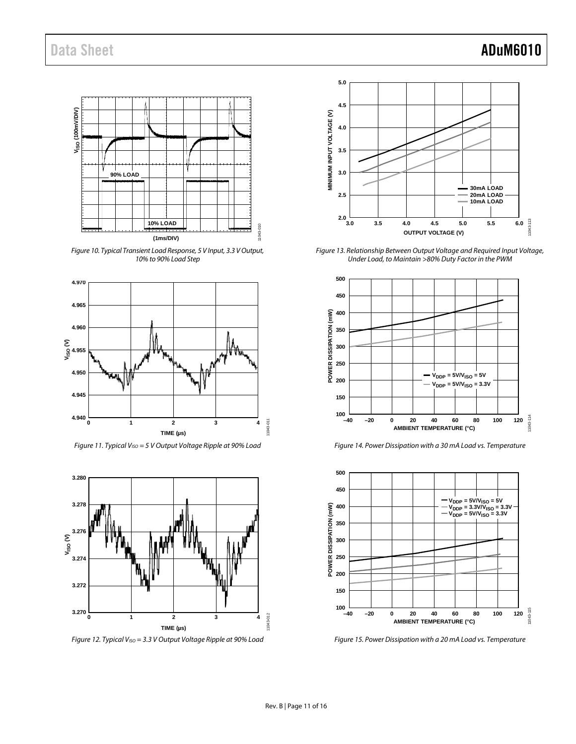

*Figure 10. Typical Transient Load Response, 5 V Input, 3.3 V Output, 10% to 90% Load Step*



*Figure 11. Typical VISO = 5 V Output Voltage Ripple at 90% Load*



*Figure 12. Typical V<sub>ISO</sub>* = 3.3 V Output Voltage Ripple at 90% Load



<span id="page-10-0"></span>*Figure 13. Relationship Between Output Voltage and Required Input Voltage, Under Load, to Maintain >80% Duty Factor in the PWM* 



<span id="page-10-1"></span>*Figure 14. Power Dissipation with a 30 mA Load vs. Temperature*



<span id="page-10-2"></span>*Figure 15. Power Dissipation with a 20 mA Load vs. Temperature*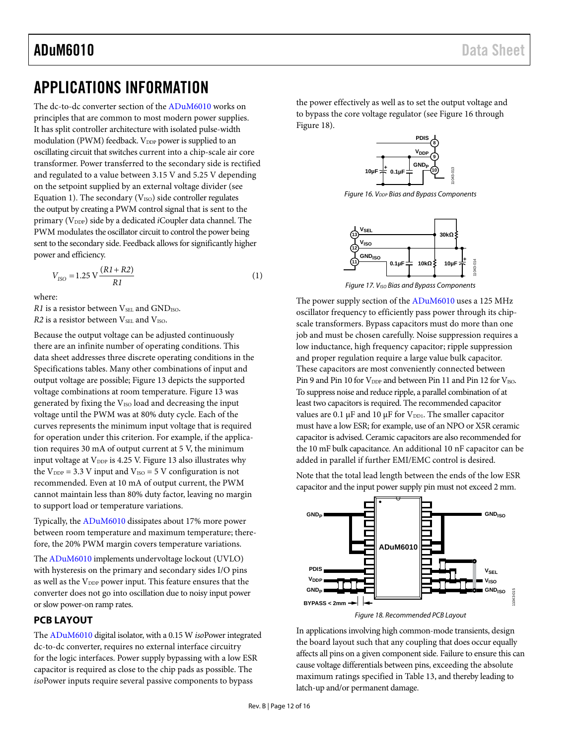# <span id="page-11-0"></span>APPLICATIONS INFORMATION

The dc-to-dc converter section of the [ADuM6010](http://www.analog.com/ADuM6010) works on principles that are common to most modern power supplies. It has split controller architecture with isolated pulse-width modulation (PWM) feedback. V<sub>DDP</sub> power is supplied to an oscillating circuit that switches current into a chip-scale air core transformer. Power transferred to the secondary side is rectified and regulated to a value between 3.15 V and 5.25 V depending on the setpoint supplied by an external voltage divider (see Equation 1). The secondary ( $V_{ISO}$ ) side controller regulates the output by creating a PWM control signal that is sent to the primary (V<sub>DDP</sub>) side by a dedicated *i*Coupler data channel. The PWM modulates the oscillator circuit to control the power being sent to the secondary side. Feedback allows for significantly higher power and efficiency.

$$
V_{ISO} = 1.25 \text{ V} \frac{(RI + R2)}{R1} \tag{1}
$$

where:

*R1* is a resistor between V<sub>SEL</sub> and GND<sub>ISO</sub>. *R2* is a resistor between V<sub>SEL</sub> and V<sub>ISO</sub>.

Because the output voltage can be adjusted continuously there are an infinite number of operating conditions. This data sheet addresses three discrete operating conditions in the [Specifications](#page-2-0) tables. Many other combinations of input and output voltage are possible; [Figure 13](#page-10-0) depicts the supported voltage combinations at room temperature[. Figure 13](#page-10-0) was generated by fixing the V<sub>ISO</sub> load and decreasing the input voltage until the PWM was at 80% duty cycle. Each of the curves represents the minimum input voltage that is required for operation under this criterion. For example, if the application requires 30 mA of output current at 5 V, the minimum input voltage at  $V_{DDP}$  is 4.25 V. [Figure 13](#page-10-0) also illustrates why the  $V_{DDP} = 3.3$  V input and  $V_{ISO} = 5$  V configuration is not recommended. Even at 10 mA of output current, the PWM cannot maintain less than 80% duty factor, leaving no margin to support load or temperature variations.

Typically, the [ADuM6010](http://www.analog.com/ADuM6010) dissipates about 17% more power between room temperature and maximum temperature; therefore, the 20% PWM margin covers temperature variations.

Th[e ADuM6010](http://www.analog.com/ADuM6010) implements undervoltage lockout (UVLO) with hysteresis on the primary and secondary sides I/O pins as well as the  $V_{\text{DDP}}$  power input. This feature ensures that the converter does not go into oscillation due to noisy input power or slow power-on ramp rates.

#### <span id="page-11-1"></span>**PCB LAYOUT**

The [ADuM6010](http://www.analog.com/ADuM6010) digital isolator, with a 0.15 W *iso*Power integrated dc-to-dc converter, requires no external interface circuitry for the logic interfaces. Power supply bypassing with a low ESR capacitor is required as close to the chip pads as possible. The *iso*Power inputs require several passive components to bypass

the power effectively as well as to set the output voltage and to bypass the core voltage regulator (se[e Figure 16](#page-11-2) through [Figure](#page-11-3) 18).



<span id="page-11-2"></span>**Figure 16. V<sub>DDP</sub> Bias and Bypass Components** 



*Figure 17. VISO Bias and Bypass Components*

The power supply section of the [ADuM6010](http://www.analog.com/ADuM6010) uses a 125 MHz oscillator frequency to efficiently pass power through its chipscale transformers. Bypass capacitors must do more than one job and must be chosen carefully. Noise suppression requires a low inductance, high frequency capacitor; ripple suppression and proper regulation require a large value bulk capacitor. These capacitors are most conveniently connected between Pin 9 and Pin 10 for  $V_{\text{DDP}}$  and between Pin 11 and Pin 12 for  $V_{\text{ISO}}$ . To suppress noise and reduce ripple, a parallel combination of at least two capacitors is required. The recommended capacitor values are 0.1  $\mu$ F and 10  $\mu$ F for V<sub>DD1</sub>. The smaller capacitor must have a low ESR; for example, use of an NPO or X5R ceramic capacitor is advised. Ceramic capacitors are also recommended for the 10 mF bulk capacitance. An additional 10 nF capacitor can be added in parallel if further EMI/EMC control is desired.

Note that the total lead length between the ends of the low ESR capacitor and the input power supply pin must not exceed 2 mm.



*Figure 18. Recommended PCB Layout*

<span id="page-11-3"></span>In applications involving high common-mode transients, design the board layout such that any coupling that does occur equally affects all pins on a given component side. Failure to ensure this can cause voltage differentials between pins, exceeding the absolute maximum ratings specified i[n Table 13,](#page-7-2) and thereby leading to latch-up and/or permanent damage.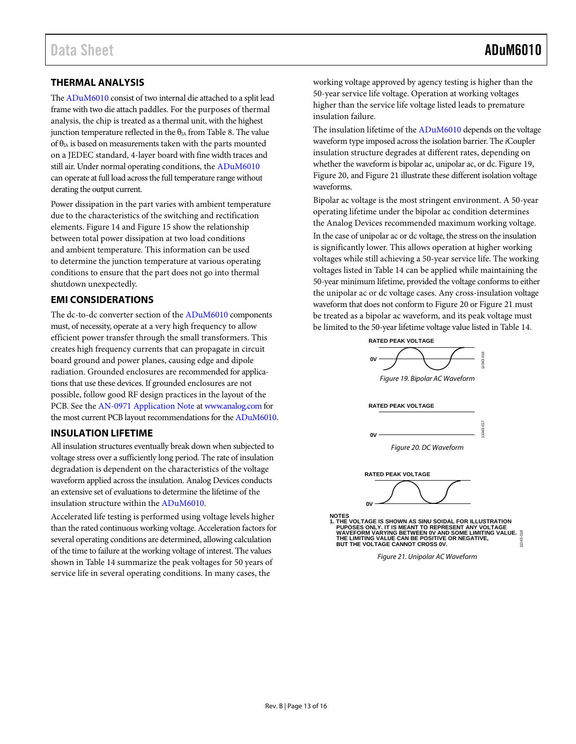### <span id="page-12-0"></span>**THERMAL ANALYSIS**

Th[e ADuM6010](http://www.analog.com/ADuM6010) consist of two internal die attached to a split lead frame with two die attach paddles. For the purposes of thermal analysis, the chip is treated as a thermal unit, with the highest junction temperature reflected in the  $\theta_{IA}$  fro[m Table 8.](#page-5-3) The value of  $\theta_{IA}$  is based on measurements taken with the parts mounted on a JEDEC standard, 4-layer board with fine width traces and still air. Under normal operating conditions, the [ADuM6010](http://www.analog.com/ADuM6010) can operate at full load across the full temperature range without derating the output current.

Power dissipation in the part varies with ambient temperature due to the characteristics of the switching and rectification elements. [Figure 14](#page-10-1) and [Figure 15](#page-10-2) show the relationship between total power dissipation at two load conditions and ambient temperature. This information can be used to determine the junction temperature at various operating conditions to ensure that the part does not go into thermal shutdown unexpectedly.

#### <span id="page-12-1"></span>**EMI CONSIDERATIONS**

The dc-to-dc converter section of the [ADuM6010](http://www.analog.com/ADuM6010) components must, of necessity, operate at a very high frequency to allow efficient power transfer through the small transformers. This creates high frequency currents that can propagate in circuit board ground and power planes, causing edge and dipole radiation. Grounded enclosures are recommended for applications that use these devices. If grounded enclosures are not possible, follow good RF design practices in the layout of the PCB. See th[e AN-0971 Application Note](http://www.analog.com/AN-0971) a[t www.analog.com](http://www.analog.com/) for the most current PCB layout recommendations for th[e ADuM6010.](http://www.analog.com/ADuM6010)

#### <span id="page-12-2"></span>**INSULATION LIFETIME**

All insulation structures eventually break down when subjected to voltage stress over a sufficiently long period. The rate of insulation degradation is dependent on the characteristics of the voltage waveform applied across the insulation. Analog Devices conducts an extensive set of evaluations to determine the lifetime of the insulation structure within the [ADuM6010.](http://www.analog.com/ADuM6010)

Accelerated life testing is performed using voltage levels higher than the rated continuous working voltage. Acceleration factors for several operating conditions are determined, allowing calculation of the time to failure at the working voltage of interest. The values shown in [Table 14](#page-7-3) summarize the peak voltages for 50 years of service life in several operating conditions. In many cases, the

working voltage approved by agency testing is higher than the 50-year service life voltage. Operation at working voltages higher than the service life voltage listed leads to premature insulation failure.

The insulation lifetime of th[e ADuM6010](http://www.analog.com/ADuM6010) depends on the voltage waveform type imposed across the isolation barrier. The *i*Coupler insulation structure degrades at different rates, depending on whether the waveform is bipolar ac, unipolar ac, or dc[. Figure 19,](#page-12-3)  [Figure 20,](#page-12-4) an[d Figure 21](#page-12-5) illustrate these different isolation voltage waveforms.

Bipolar ac voltage is the most stringent environment. A 50-year operating lifetime under the bipolar ac condition determines the Analog Devices recommended maximum working voltage.

In the case of unipolar ac or dc voltage, the stress on the insulation is significantly lower. This allows operation at higher working voltages while still achieving a 50-year service life. The working voltages listed in [Table 14](#page-7-3) can be applied while maintaining the 50-year minimum lifetime, provided the voltage conforms to either the unipolar ac or dc voltage cases. Any cross-insulation voltage waveform that does not conform t[o Figure 20](#page-12-4) o[r Figure 21](#page-12-5) must be treated as a bipolar ac waveform, and its peak voltage must be limited to the 50-year lifetime voltage value listed i[n Table 14.](#page-7-3)



<span id="page-12-3"></span>**RATED PEAK VOLTAGE**



*Figure 20. DC Waveform*

<span id="page-12-4"></span>

<span id="page-12-5"></span>11043-018 NOTES<br>1. THE VOLTAGE IS SHOWN AS SINU SOIDAL FOR ILLUSTRATION<br>- PUPOSES ONLY. IT IS MEANT TO REPRESENT ANY VOLTAGE<br>- WAVEFORM VARYING BETWEEN 0V AND SOME LIMITING VALUE.<br>THE LIMITING VALUE CAN BE POSITIVE OR NEGATIVE,<br>BUT

*Figure 21. Unipolar AC Waveform*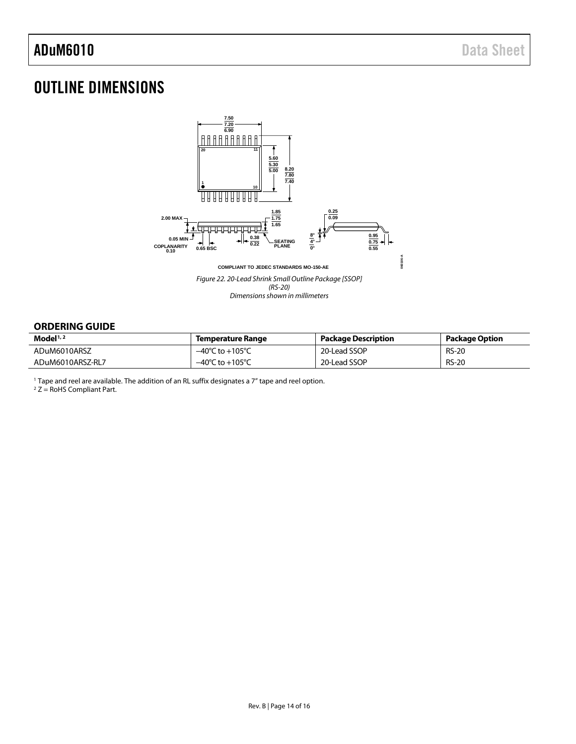# <span id="page-13-0"></span>OUTLINE DIMENSIONS



#### <span id="page-13-1"></span>**ORDERING GUIDE**

| Model $1/2$      | Temperature Range                   | <b>Package Description</b> | Package Option |
|------------------|-------------------------------------|----------------------------|----------------|
| ADuM6010ARSZ     | $-40^{\circ}$ C to $+105^{\circ}$ C | 20-Lead SSOP               | <b>RS-20</b>   |
| ADuM6010ARSZ-RL7 | $-40^{\circ}$ C to $+105^{\circ}$ C | 20-Lead SSOP               | <b>RS-20</b>   |

<sup>1</sup> Tape and reel are available. The addition of an RL suffix designates a 7" tape and reel option.

 $2 Z =$  RoHS Compliant Part.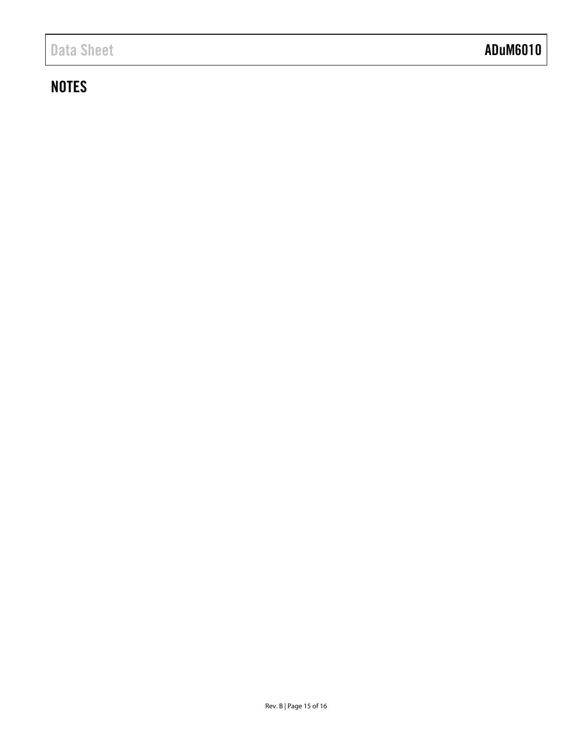# Data Sheet **ADuM6010**

# **NOTES**